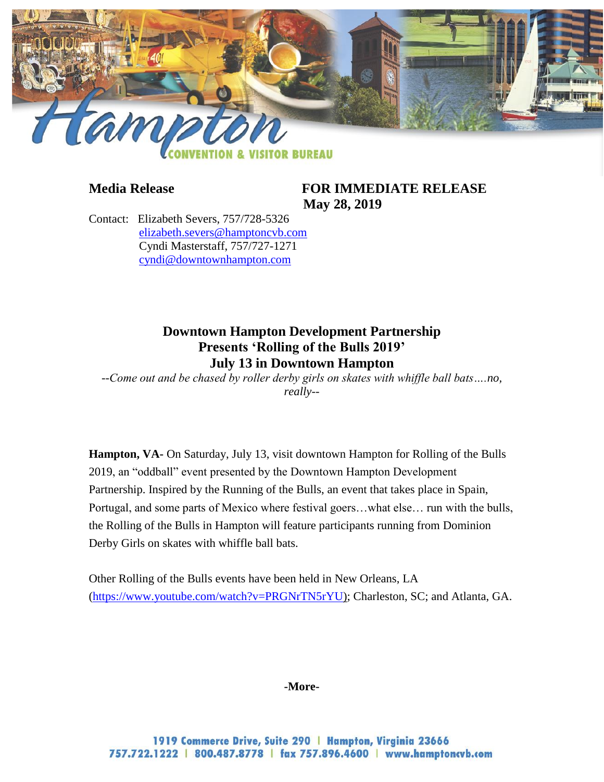

## **Media Release FOR IMMEDIATE RELEASE May 28, 2019**

Contact: Elizabeth Severs, 757/728-5326 [elizabeth.severs@hamptoncvb.com](mailto:elizabeth.severs@hamptoncvb.com) Cyndi Masterstaff, 757/727-1271 [cyndi@downtownhampton.com](mailto:cyndi@downtownhampton.com) 

# **Downtown Hampton Development Partnership Presents 'Rolling of the Bulls 2019' July 13 in Downtown Hampton**

*--Come out and be chased by roller derby girls on skates with whiffle ball bats….no, really--*

**Hampton, VA-** On Saturday, July 13, visit downtown Hampton for Rolling of the Bulls 2019, an "oddball" event presented by the Downtown Hampton Development Partnership. Inspired by the Running of the Bulls, an event that takes place in Spain, Portugal, and some parts of Mexico where festival goers…what else… run with the bulls, the Rolling of the Bulls in Hampton will feature participants running from Dominion Derby Girls on skates with whiffle ball bats.

Other Rolling of the Bulls events have been held in New Orleans, LA [\(https://www.youtube.com/watch?v=PRGNrTN5rYU\)](https://www.youtube.com/watch?v=PRGNrTN5rYU); Charleston, SC; and Atlanta, GA.

#### **-More-**

1919 Commerce Drive, Suite 290 | Hampton, Virginia 23666 757.722.1222 | 800.487.8778 | fax 757.896.4600 | www.hamptoncvb.com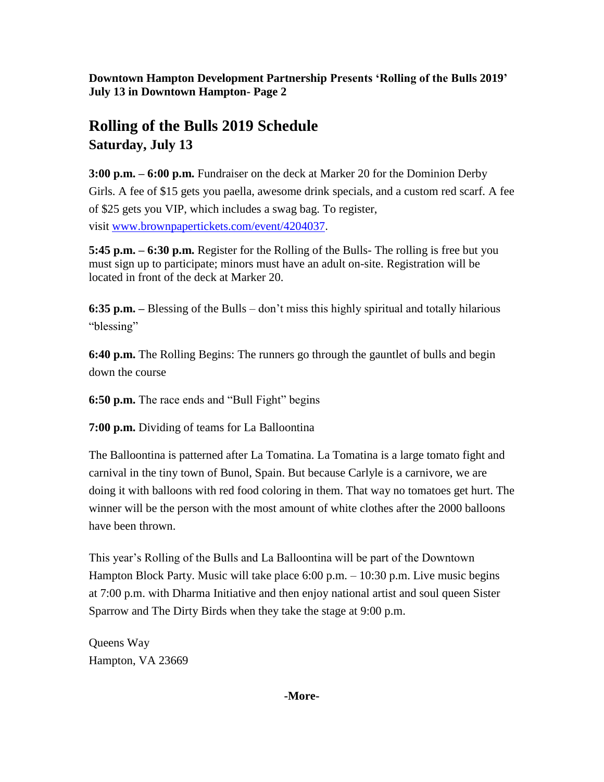**Downtown Hampton Development Partnership Presents 'Rolling of the Bulls 2019' July 13 in Downtown Hampton- Page 2**

# **Rolling of the Bulls 2019 Schedule Saturday, July 13**

**3:00 p.m. – 6:00 p.m.** Fundraiser on the deck at Marker 20 for the Dominion Derby Girls. A fee of \$15 gets you paella, awesome drink specials, and a custom red scarf. A fee of \$25 gets you VIP, which includes a swag bag. To register, visit www.brownpapertickets.com/event/4204037.

**5:45 p.m. – 6:30 p.m.** Register for the Rolling of the Bulls- The rolling is free but you must sign up to participate; minors must have an adult on-site. Registration will be located in front of the deck at Marker 20.

**6:35 p.m. –** Blessing of the Bulls – don't miss this highly spiritual and totally hilarious "blessing"

**6:40 p.m.** The Rolling Begins: The runners go through the gauntlet of bulls and begin down the course

**6:50 p.m.** The race ends and "Bull Fight" begins

**7:00 p.m.** Dividing of teams for La Balloontina

The Balloontina is patterned after La Tomatina. La Tomatina is a large tomato fight and carnival in the tiny town of Bunol, Spain. But because Carlyle is a carnivore, we are doing it with balloons with red food coloring in them. That way no tomatoes get hurt. The winner will be the person with the most amount of white clothes after the 2000 balloons have been thrown.

This year's Rolling of the Bulls and La Balloontina will be part of the Downtown Hampton Block Party. Music will take place 6:00 p.m. – 10:30 p.m. Live music begins at 7:00 p.m. with Dharma Initiative and then enjoy national artist and soul queen Sister Sparrow and The Dirty Birds when they take the stage at 9:00 p.m.

Queens Way Hampton, VA 23669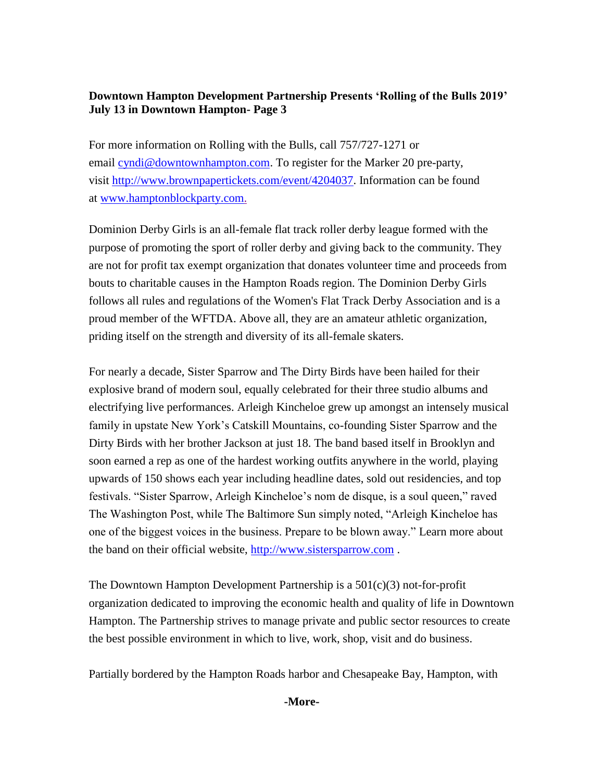# **Downtown Hampton Development Partnership Presents 'Rolling of the Bulls 2019' July 13 in Downtown Hampton- Page 3**

For more information on Rolling with the Bulls, call 757/727-1271 or email [cyndi@downtownhampton.com.](mailto:cyndi@downtownhampton.com) To register for the Marker 20 pre-party, visit http://www.brownpapertickets.com/event/4204037. Information can be found at [www.hamptonblockparty.com.](http://www.hamptonblockparty.com/)

Dominion Derby Girls is an all-female flat track roller derby league formed with the purpose of promoting the sport of roller derby and giving back to the community. They are not for profit tax exempt organization that donates volunteer time and proceeds from bouts to charitable causes in the Hampton Roads region. The Dominion Derby Girls follows all rules and regulations of the Women's Flat Track Derby Association and is a proud member of the WFTDA. Above all, they are an amateur athletic organization, priding itself on the strength and diversity of its all-female skaters.

For nearly a decade, Sister Sparrow and The Dirty Birds have been hailed for their explosive brand of modern soul, equally celebrated for their three studio albums and electrifying live performances. Arleigh Kincheloe grew up amongst an intensely musical family in upstate New York's Catskill Mountains, co-founding Sister Sparrow and the Dirty Birds with her brother Jackson at just 18. The band based itself in Brooklyn and soon earned a rep as one of the hardest working outfits anywhere in the world, playing upwards of 150 shows each year including headline dates, sold out residencies, and top festivals. "Sister Sparrow, Arleigh Kincheloe's nom de disque, is a soul queen," raved The Washington Post, while The Baltimore Sun simply noted, "Arleigh Kincheloe has one of the biggest voices in the business. Prepare to be blown away." Learn more about the band on their official website, [http://www.sistersparrow.com](http://www.sistersparrow.com/) .

The Downtown Hampton Development Partnership is a  $501(c)(3)$  not-for-profit organization dedicated to improving the economic health and quality of life in Downtown Hampton. The Partnership strives to manage private and public sector resources to create the best possible environment in which to live, work, shop, visit and do business.

Partially bordered by the Hampton Roads harbor and Chesapeake Bay, Hampton, with